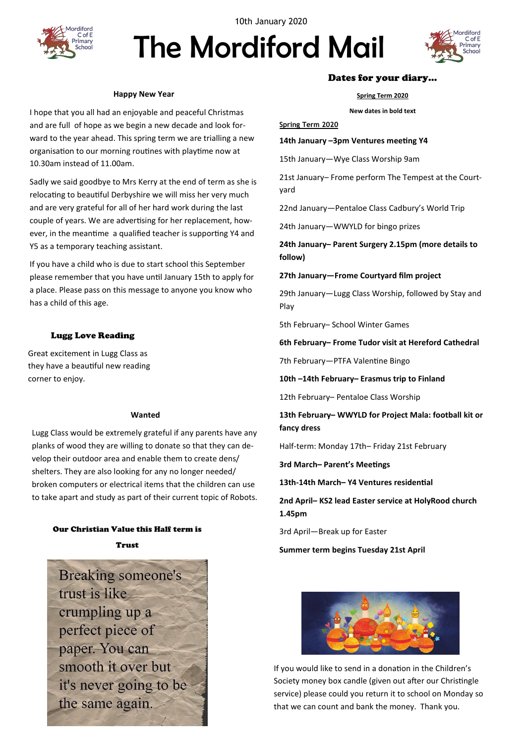

10th January 2020

# The Mordiford Mail



#### **Happy New Year**

I hope that you all had an enjoyable and peaceful Christmas and are full of hope as we begin a new decade and look forward to the year ahead. This spring term we are trialling a new organisation to our morning routines with playtime now at 10.30am instead of 11.00am.

Sadly we said goodbye to Mrs Kerry at the end of term as she is relocating to beautiful Derbyshire we will miss her very much and are very grateful for all of her hard work during the last couple of years. We are advertising for her replacement, however, in the meantime a qualified teacher is supporting Y4 and Y5 as a temporary teaching assistant.

If you have a child who is due to start school this September please remember that you have until January 15th to apply for a place. Please pass on this message to anyone you know who has a child of this age.

## Lugg Love Reading

Great excitement in Lugg Class as they have a beautiful new reading corner to enjoy.

#### **Wanted**

Lugg Class would be extremely grateful if any parents have any planks of wood they are willing to donate so that they can develop their outdoor area and enable them to create dens/ shelters. They are also looking for any no longer needed/ broken computers or electrical items that the children can use to take apart and study as part of their current topic of Robots.

## Our Christian Value this Half term is Trust



## Dates for your diary…

**Spring Term 2020**

**New dates in bold text**

**Spring Term 2020**

## **14th January –3pm Ventures meeting Y4**

15th January—Wye Class Worship 9am

21st January– Frome perform The Tempest at the Courtyard

22nd January—Pentaloe Class Cadbury's World Trip

24th January—WWYLD for bingo prizes

**24th January– Parent Surgery 2.15pm (more details to follow)**

## **27th January—Frome Courtyard film project**

29th January—Lugg Class Worship, followed by Stay and Play

5th February– School Winter Games

## **6th February– Frome Tudor visit at Hereford Cathedral**

7th February—PTFA Valentine Bingo

**10th –14th February– Erasmus trip to Finland**

12th February– Pentaloe Class Worship

**13th February– WWYLD for Project Mala: football kit or fancy dress**

Half-term: Monday 17th– Friday 21st February

**3rd March– Parent's Meetings**

**13th-14th March– Y4 Ventures residential**

**2nd April– KS2 lead Easter service at HolyRood church 1.45pm**

3rd April—Break up for Easter

**Summer term begins Tuesday 21st April** 



If you would like to send in a donation in the Children's Society money box candle (given out after our Christingle service) please could you return it to school on Monday so that we can count and bank the money. Thank you.